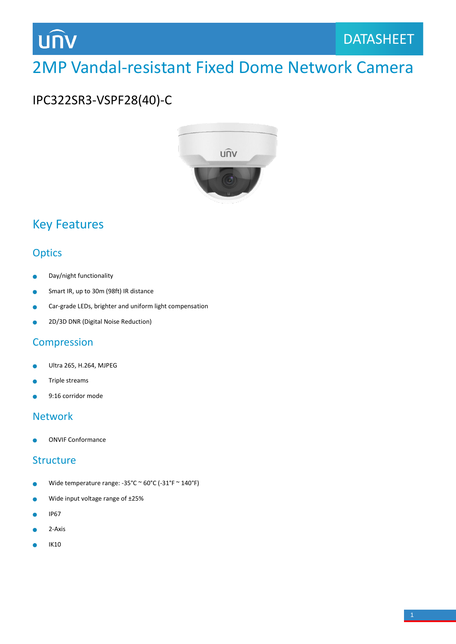## **UNV**

## 2MP Vandal-resistant Fixed Dome Network Camera

### IPC322SR3-VSPF28(40)-C



### Key Features

#### **Optics**

- Day/night functionality ò
- Smart IR, up to 30m (98ft) IR distance Ŏ
- Car-grade LEDs, brighter and uniform light compensation  $\bullet$
- 2D/3D DNR (Digital Noise Reduction) ò

#### **Compression**

- Ultra 265, H.264, MJPEG  $\bullet$
- Triple streams
- 9:16 corridor mode

#### Network

ONVIF Conformance

#### **Structure**

- Wide temperature range: -35°C ~ 60°C (-31°F ~ 140°F) ۰
- Wide input voltage range of ±25%  $\bullet$
- IP67 Ä
- 2-Axis ۰
- IK10۰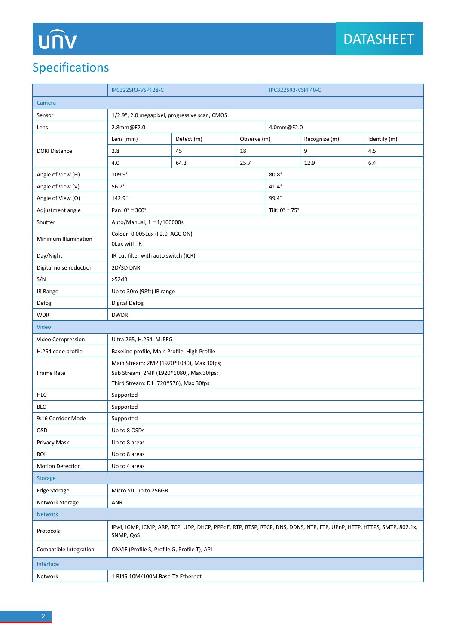# UN

## Specifications

|                         | IPC322SR3-VSPF28-C                                                                                                                |            |             | IPC322SR3-VSPF40-C |                |              |  |
|-------------------------|-----------------------------------------------------------------------------------------------------------------------------------|------------|-------------|--------------------|----------------|--------------|--|
| Camera                  |                                                                                                                                   |            |             |                    |                |              |  |
| Sensor                  | 1/2.9", 2.0 megapixel, progressive scan, CMOS                                                                                     |            |             |                    |                |              |  |
| Lens                    | 2.8mm@F2.0                                                                                                                        |            |             | 4.0mm@F2.0         |                |              |  |
| <b>DORI Distance</b>    | Lens (mm)                                                                                                                         | Detect (m) | Observe (m) |                    | Recognize (m)  | Identify (m) |  |
|                         | 2.8                                                                                                                               | 45         | 18          |                    | 9              | 4.5          |  |
|                         | 4.0                                                                                                                               | 64.3       | 25.7        |                    | 12.9           | 6.4          |  |
| Angle of View (H)       | 109.9°                                                                                                                            |            |             | $80.8^\circ$       |                |              |  |
| Angle of View (V)       | $56.7^\circ$                                                                                                                      |            |             | $41.4^\circ$       |                |              |  |
| Angle of View (O)       | $142.9^\circ$                                                                                                                     |            |             | $99.4^\circ$       |                |              |  |
| Adjustment angle        | Pan: 0° ~ 360°                                                                                                                    |            |             |                    | Tilt: 0° ~ 75° |              |  |
| Shutter                 | Auto/Manual, 1 ~ 1/100000s                                                                                                        |            |             |                    |                |              |  |
| Minimum Illumination    | Colour: 0.005Lux (F2.0, AGC ON)<br>OLux with IR                                                                                   |            |             |                    |                |              |  |
| Day/Night               | IR-cut filter with auto switch (ICR)                                                                                              |            |             |                    |                |              |  |
| Digital noise reduction | 2D/3D DNR                                                                                                                         |            |             |                    |                |              |  |
| S/N                     | >52dB                                                                                                                             |            |             |                    |                |              |  |
| IR Range                | Up to 30m (98ft) IR range                                                                                                         |            |             |                    |                |              |  |
| Defog                   | Digital Defog                                                                                                                     |            |             |                    |                |              |  |
| <b>WDR</b>              | <b>DWDR</b>                                                                                                                       |            |             |                    |                |              |  |
| Video                   |                                                                                                                                   |            |             |                    |                |              |  |
| Video Compression       | Ultra 265, H.264, MJPEG                                                                                                           |            |             |                    |                |              |  |
| H.264 code profile      | Baseline profile, Main Profile, High Profile                                                                                      |            |             |                    |                |              |  |
| <b>Frame Rate</b>       | Main Stream: 2MP (1920*1080), Max 30fps;                                                                                          |            |             |                    |                |              |  |
|                         | Sub Stream: 2MP (1920*1080), Max 30fps;                                                                                           |            |             |                    |                |              |  |
|                         | Third Stream: D1 (720*576), Max 30fps                                                                                             |            |             |                    |                |              |  |
| <b>HLC</b>              | Supported                                                                                                                         |            |             |                    |                |              |  |
| <b>BLC</b>              | Supported                                                                                                                         |            |             |                    |                |              |  |
| 9:16 Corridor Mode      | Supported                                                                                                                         |            |             |                    |                |              |  |
| <b>OSD</b>              | Up to 8 OSDs                                                                                                                      |            |             |                    |                |              |  |
| Privacy Mask            | Up to 8 areas                                                                                                                     |            |             |                    |                |              |  |
| ROI                     | Up to 8 areas                                                                                                                     |            |             |                    |                |              |  |
| Motion Detection        | Up to 4 areas                                                                                                                     |            |             |                    |                |              |  |
| <b>Storage</b>          |                                                                                                                                   |            |             |                    |                |              |  |
| <b>Edge Storage</b>     | Micro SD, up to 256GB                                                                                                             |            |             |                    |                |              |  |
| Network Storage         | <b>ANR</b>                                                                                                                        |            |             |                    |                |              |  |
| <b>Network</b>          |                                                                                                                                   |            |             |                    |                |              |  |
| Protocols               | IPv4, IGMP, ICMP, ARP, TCP, UDP, DHCP, PPPoE, RTP, RTSP, RTCP, DNS, DDNS, NTP, FTP, UPnP, HTTP, HTTPS, SMTP, 802.1x,<br>SNMP, QoS |            |             |                    |                |              |  |
| Compatible Integration  | ONVIF (Profile S, Profile G, Profile T), API                                                                                      |            |             |                    |                |              |  |
| Interface               |                                                                                                                                   |            |             |                    |                |              |  |
| Network                 | 1 RJ45 10M/100M Base-TX Ethernet                                                                                                  |            |             |                    |                |              |  |